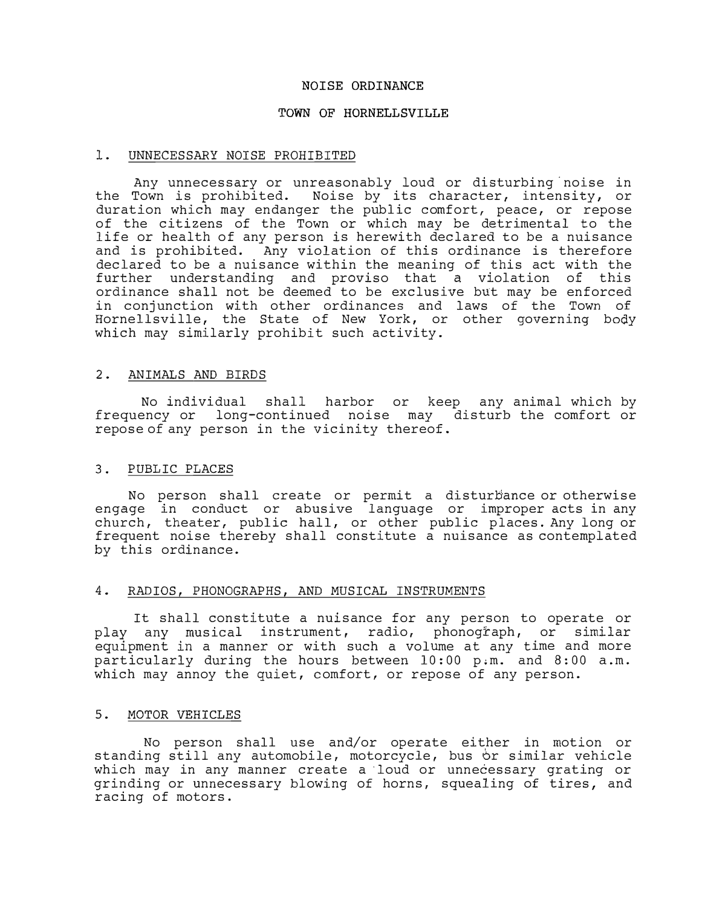# **NOISE ORDINANCE**

# **TOWN OF HORNELLSVILLE**

# 1. UNNECESSARY NOISE PROHIBITED

Any unnecessary or unreasonably loud or disturbing noise in the Town is prohibited. Noise by its character, intensity, or duration which may endanger the public comfort, peace, or repose of the citizens of the Town or which may be detrimental to the life or health of any person is herewith declared to be a nuisance and is prohibited. Any violation of this ordinance is therefore declared to be a nuisance within the meaning of this act with the further understanding and proviso that a violation of this ordinance shall not be deemed to be exclusive but may be enforced in conjunction with other ordinances and laws of the Town of Hornellsville, the State of New York, or other governing body which may similarly prohibit such activity.

# 2. ANIMALS AND BIRDS

No individual shall harbor or keep any animal which by frequency or long-continued noise may disturb the comfort or repose of any person in the vicinity thereof.

## 3. PUBLIC PLACES

No person shall create or permit a disturbance or otherwise engage in conduct or abusive language or improper acts in any church, theater, public hall, or other public places. Any long or frequent noise thereby shall constitute a nuisance as contemplated by this ordinance.

## 4. RADIOS, PHONOGRAPHS, AND MUSICAL INSTRUMENTS

It shall constitute a nuisance for any person to operate or play any musical instrument, radio, phonograph, or similar equipment in a manner or with such a volume at any time and more particularly during the hours between 10:00 p,m. and 8:00 a.m. which may annoy the quiet, comfort, or repose of any person.

# 5. MOTOR VEHICLES

No person shall use and/or operate either in motion or standing still any automobile, motorcycle, bus or similar vehicle which may in any manner create a · 1oud or unnecessary grating or grinding or unnecessary blowing of horns, squealing of tires, and racing of motors.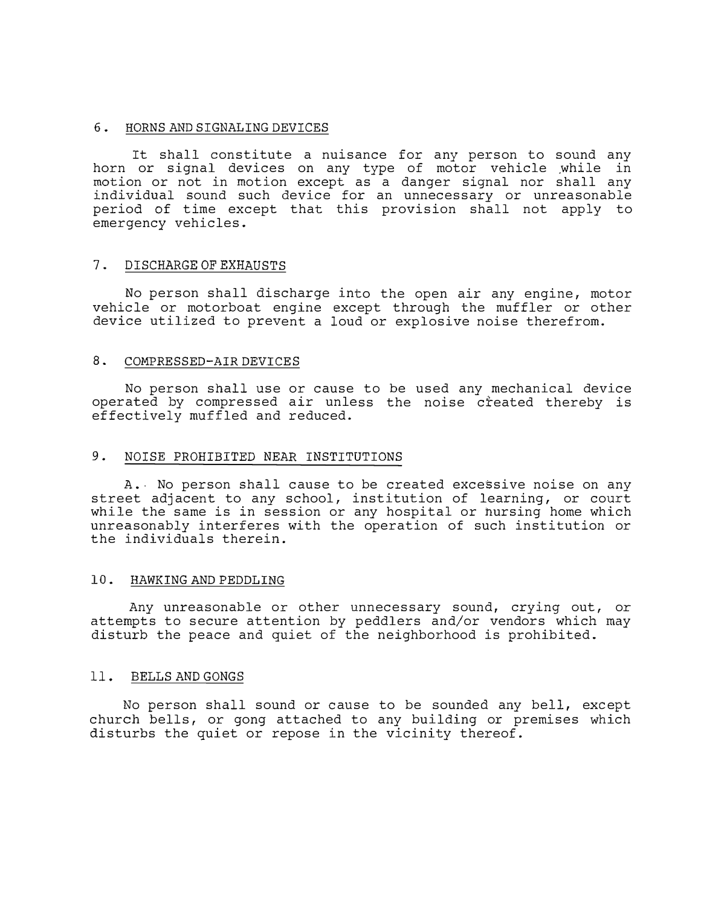#### 6. HORNS AND SIGNALING DEVICES

It shall constitute a nuisance for any person to sound any horn or signal devices on any type of motor vehicle while in motion or not in motion except as a danger signal nor shall any individual sound such device for an unnecessary or unreasonable period of time except that this provision shall not apply to emergency vehicles.

## 7. DISCHARGE OF EXHAUSTS

No person shall discharge into the open air any engine, motor vehicle or motorboat engine except through the muffler or other device utilized to prevent a loud or explosive noise therefrom.

### 8. COMPRESSED-AIR DEVICES

No person shall use or cause to be used any mechanical device operated by compressed air unless the noise created thereby is effectively muffled and reduced.

### 9. NOISE PROHIBITED NEAR INSTITUTIONS

A. No person shall cause to be created excessive noise on any street adjacent to any school, institution of learning, or court while the same is in session or any hospital or nursing home which unreasonably interferes with the operation of such institution or the individuals therein.

# 10. HAWKING AND PEDDLING

Any unreasonable or other unnecessary sound, crying out, or attempts to secure attention by peddlers and/or vendors which may disturb the peace and quiet of the neighborhood is prohibited.

#### 11. BELLS AND GONGS

No person shall sound or cause to be sounded any bell, except church bells, or gong attached to any building or premises which disturbs the quiet or repose in the vicinity thereof.